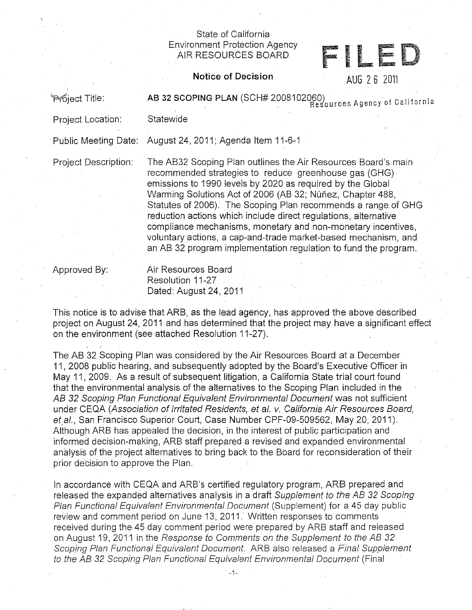## State of California Environment Protection Agency

## AIR RESOURCES BOARD<br>AIR RESOURCES BOARD

**Notice of Decision** AUG 2 6 2011

Froject Title: **AB 32 SCOPING PLAN** (SCH# 2008102060) Resources Agency of California

Project Location: Statewide

· Public Meeting Date: August 24, 2011; Agenda Item 11-6-1

Project Description: The AB32 Scoping Plan outlines the Air Resources Board's main recommended strategies to reduce greenhouse gas (GHG) emissions to 1990 levels by 2020 as required by the Global Warming Solutions Act of 2006 (AB 32; Núñez, Chapter 488, Statutes of 2006). The Scoping Plan recommends a range. of GHG reduction actions which include direct regulations, alternative compliance mechanisms, monetary and non-monetary incentives, voluntary actions, a cap-and-trade market-based mechanism, and an AB 32 program implementation regulation to fund the program.

Approved By: Air Resources Board Resolution 11-27 Dated: August 24, 2011

This notice is to advise that ARB, as the lead agency, has approved the above described project OR August 24, 2011 and has determined that the project may have a significant effect on the environment (see attached Resolution 11-27).

The AB. 32 Scoping Plan was considered by the Air Resources Board at a December 11, 2008 public hearing, and subsequently adopted by the Board's Executive Officer in May 11, 2009. As a result of subsequent litigation, a California State trial court found that the environmental analysis of the alternatives to the Scoping Plan included in the AB 32 Scoping Plan Functional Equivalent Environmental Document was not sufficient under CEQA (Association of Irritated Residents, et al. v. California Air Resources Board, et al., San Francisco Superior Court, Case Number CPF-09-509562, May 20, 2011). Although ARB has appealed the decision, in the interest of public participation and informed decision-making, ARB staff prepared a revised and expanded environmental analysis of the project alternatives to bring back to the Board for reconsideration of their prior decision to approve the Plan.

In accordance with CEQA and ARB's certified regulatory program, ARB prepared and released the expanded alternatives analysis in a draft Supplement to the AB 32 Scoping Plan Functional Equivalent Environmental Document (Supplement) for a 45 day public review and comment period on June 13, 2011. Written responses to comments received during the 45 day comment period were prepared by ARB staff and released on August 19, 2011 in the Response to Comments on the Supplement to the AB 32 Scoping Plan Functional Equivalent Document. ARB also released a Final Supplement to the AB 32 Scoping Plan Functional Equivalent Environmental Document (Final

. -1-